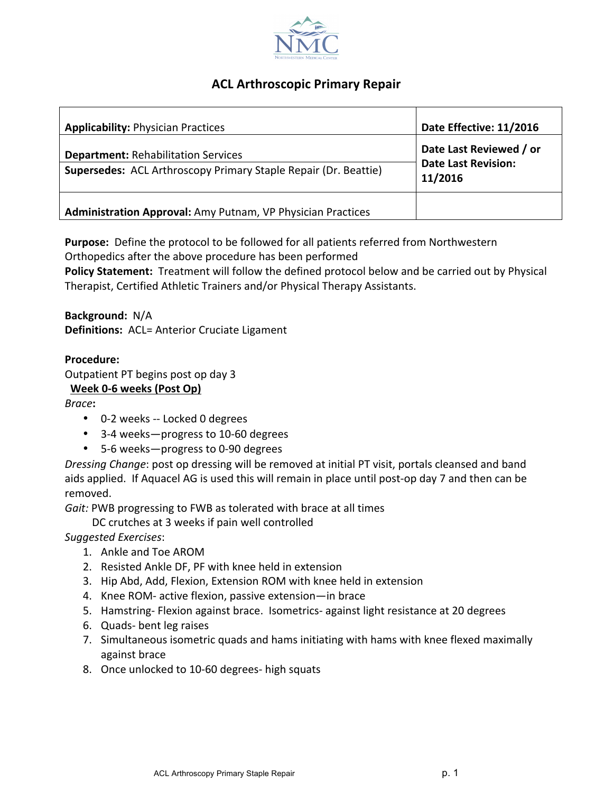

## **ACL Arthroscopic Primary Repair**

| <b>Applicability: Physician Practices</b>                                                                            | Date Effective: 11/2016                                          |
|----------------------------------------------------------------------------------------------------------------------|------------------------------------------------------------------|
| <b>Department: Rehabilitation Services</b><br><b>Supersedes:</b> ACL Arthroscopy Primary Staple Repair (Dr. Beattie) | Date Last Reviewed / or<br><b>Date Last Revision:</b><br>11/2016 |
| Administration Approval: Amy Putnam, VP Physician Practices                                                          |                                                                  |

**Purpose:** Define the protocol to be followed for all patients referred from Northwestern Orthopedics after the above procedure has been performed

**Policy Statement:** Treatment will follow the defined protocol below and be carried out by Physical Therapist, Certified Athletic Trainers and/or Physical Therapy Assistants.

**Background:** N/A **Definitions:** ACL= Anterior Cruciate Ligament

## **Procedure:**

Outpatient PT begins post op day 3

## Week 0-6 weeks (Post Op)

*Brace***:**

- 0-2 weeks -- Locked 0 degrees
- 3-4 weeks-progress to 10-60 degrees
- 5-6 weeks-progress to 0-90 degrees

*Dressing Change*: post op dressing will be removed at initial PT visit, portals cleansed and band aids applied. If Aquacel AG is used this will remain in place until post-op day 7 and then can be removed.

*Gait:* PWB progressing to FWB as tolerated with brace at all times

DC crutches at 3 weeks if pain well controlled

*Suggested Exercises*:

- 1. Ankle and Toe AROM
- 2. Resisted Ankle DF, PF with knee held in extension
- 3. Hip Abd, Add, Flexion, Extension ROM with knee held in extension
- 4. Knee ROM- active flexion, passive extension—in brace
- 5. Hamstring- Flexion against brace. Isometrics- against light resistance at 20 degrees
- 6. Quads- bent leg raises
- 7. Simultaneous isometric quads and hams initiating with hams with knee flexed maximally against brace
- 8. Once unlocked to 10-60 degrees- high squats